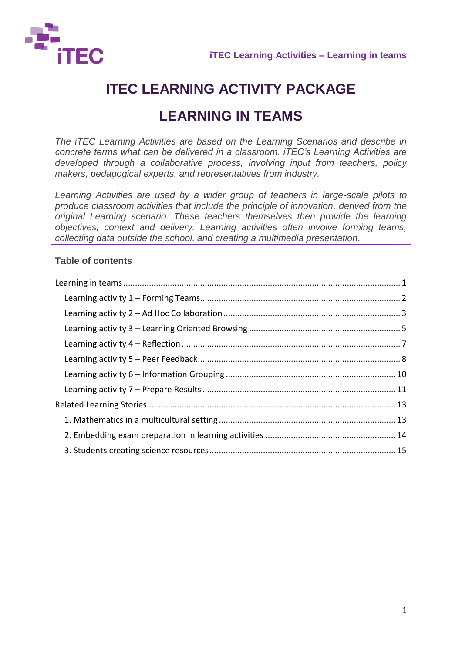

# **ITEC LEARNING ACTIVITY PACKAGE**

# **LEARNING IN TEAMS**

<span id="page-0-0"></span>*The iTEC Learning Activities are based on the Learning Scenarios and describe in concrete terms what can be delivered in a classroom. iTEC's Learning Activities are developed through a collaborative process, involving input from teachers, policy makers, pedagogical experts, and representatives from industry.* 

*Learning Activities are used by a wider group of teachers in large-scale pilots to produce classroom activities that include the principle of innovation, derived from the original Learning scenario. These teachers themselves then provide the learning objectives, context and delivery. Learning activities often involve forming teams, collecting data outside the school, and creating a multimedia presentation.*

## **Table of contents**

<span id="page-0-1"></span>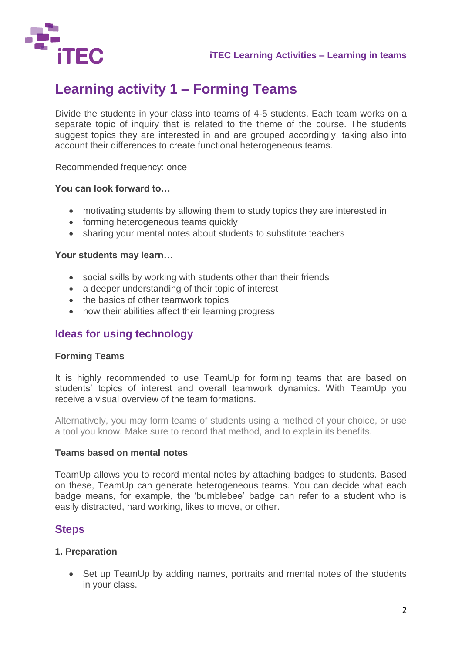

# **Learning activity 1 – Forming Teams**

Divide the students in your class into teams of 4-5 students. Each team works on a separate topic of inquiry that is related to the theme of the course. The students suggest topics they are interested in and are grouped accordingly, taking also into account their differences to create functional heterogeneous teams.

Recommended frequency: once

### **You can look forward to…**

- motivating students by allowing them to study topics they are interested in
- forming heterogeneous teams quickly
- sharing your mental notes about students to substitute teachers

#### **Your students may learn…**

- social skills by working with students other than their friends
- a deeper understanding of their topic of interest
- the basics of other teamwork topics
- how their abilities affect their learning progress

# **Ideas for using technology**

### **Forming Teams**

It is highly recommended to use TeamUp for forming teams that are based on students' topics of interest and overall teamwork dynamics. With TeamUp you receive a visual overview of the team formations.

Alternatively, you may form teams of students using a method of your choice, or use a tool you know. Make sure to record that method, and to explain its benefits.

#### **Teams based on mental notes**

TeamUp allows you to record mental notes by attaching badges to students. Based on these, TeamUp can generate heterogeneous teams. You can decide what each badge means, for example, the 'bumblebee' badge can refer to a student who is easily distracted, hard working, likes to move, or other.

# **Steps**

### **1. Preparation**

• Set up TeamUp by adding names, portraits and mental notes of the students in your class.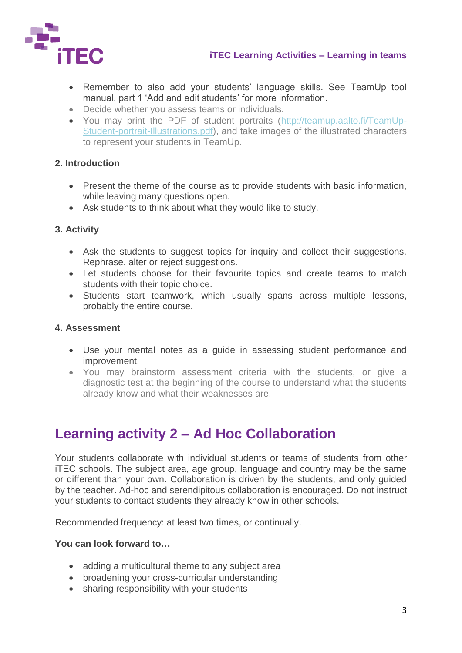

- Remember to also add your students' language skills. See TeamUp tool manual, part 1 'Add and edit students' for more information.
- Decide whether you assess teams or individuals.
- You may print the PDF of student portraits [\(http://teamup.aalto.fi/TeamUp-](http://teamup.aalto.fi/TeamUp-Student-portrait-Illustrations.pdf)[Student-portrait-Illustrations.pdf\)](http://teamup.aalto.fi/TeamUp-Student-portrait-Illustrations.pdf), and take images of the illustrated characters to represent your students in TeamUp.

## **2. Introduction**

- Present the theme of the course as to provide students with basic information, while leaving many questions open.
- Ask students to think about what they would like to study.

## **3. Activity**

- Ask the students to suggest topics for inquiry and collect their suggestions. Rephrase, alter or reject suggestions.
- Let students choose for their favourite topics and create teams to match students with their topic choice.
- Students start teamwork, which usually spans across multiple lessons, probably the entire course.

### **4. Assessment**

- Use your mental notes as a guide in assessing student performance and improvement.
- You may brainstorm assessment criteria with the students, or give a diagnostic test at the beginning of the course to understand what the students already know and what their weaknesses are.

# <span id="page-2-0"></span>**Learning activity 2 – Ad Hoc Collaboration**

Your students collaborate with individual students or teams of students from other iTEC schools. The subject area, age group, language and country may be the same or different than your own. Collaboration is driven by the students, and only guided by the teacher. Ad-hoc and serendipitous collaboration is encouraged. Do not instruct your students to contact students they already know in other schools.

Recommended frequency: at least two times, or continually.

### **You can look forward to…**

- adding a multicultural theme to any subject area
- broadening your cross-curricular understanding
- sharing responsibility with your students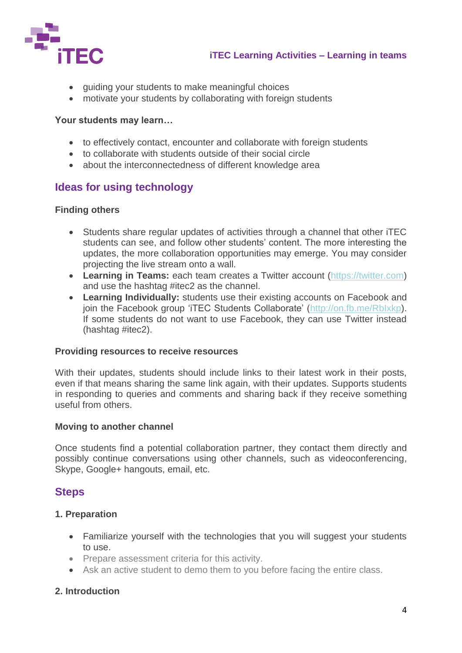

- quiding your students to make meaningful choices
- motivate your students by collaborating with foreign students

#### **Your students may learn…**

- to effectively contact, encounter and collaborate with foreign students
- to collaborate with students outside of their social circle
- about the interconnectedness of different knowledge area

# **Ideas for using technology**

#### **Finding others**

- Students share regular updates of activities through a channel that other iTEC students can see, and follow other students' content. The more interesting the updates, the more collaboration opportunities may emerge. You may consider projecting the live stream onto a wall.
- **Learning in Teams:** each team creates a Twitter account [\(https://twitter.com\)](https://twitter.com/) and use the hashtag #itec2 as the channel.
- **Learning Individually:** students use their existing accounts on Facebook and join the Facebook group 'iTEC Students Collaborate' [\(http://on.fb.me/RbIxkp\)](http://on.fb.me/RbIxkp). If some students do not want to use Facebook, they can use Twitter instead (hashtag #itec2).

#### **Providing resources to receive resources**

With their updates, students should include links to their latest work in their posts, even if that means sharing the same link again, with their updates. Supports students in responding to queries and comments and sharing back if they receive something useful from others.

#### **Moving to another channel**

Once students find a potential collaboration partner, they contact them directly and possibly continue conversations using other channels, such as videoconferencing, Skype, Google+ hangouts, email, etc.

# **Steps**

### **1. Preparation**

- Familiarize yourself with the technologies that you will suggest your students to use.
- Prepare assessment criteria for this activity.
- Ask an active student to demo them to you before facing the entire class.

## **2. Introduction**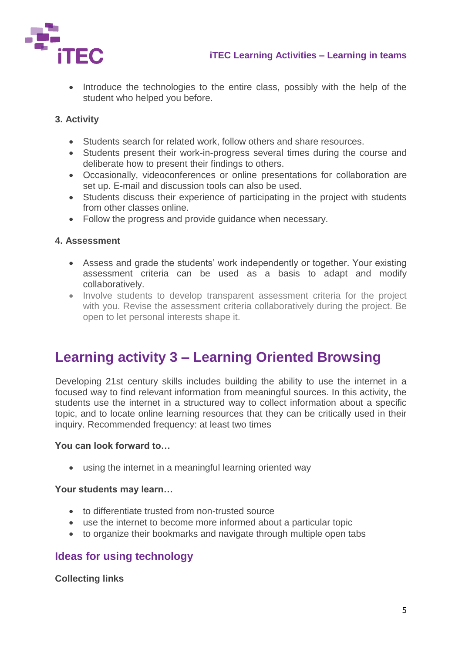

• Introduce the technologies to the entire class, possibly with the help of the student who helped you before.

### **3. Activity**

- Students search for related work, follow others and share resources.
- Students present their work-in-progress several times during the course and deliberate how to present their findings to others.
- Occasionally, videoconferences or online presentations for collaboration are set up. E-mail and discussion tools can also be used.
- Students discuss their experience of participating in the project with students from other classes online.
- Follow the progress and provide guidance when necessary.

## **4. Assessment**

- Assess and grade the students' work independently or together. Your existing assessment criteria can be used as a basis to adapt and modify collaboratively.
- Involve students to develop transparent assessment criteria for the project with you. Revise the assessment criteria collaboratively during the project. Be open to let personal interests shape it.

# <span id="page-4-0"></span>**Learning activity 3 – Learning Oriented Browsing**

Developing 21st century skills includes building the ability to use the internet in a focused way to find relevant information from meaningful sources. In this activity, the students use the internet in a structured way to collect information about a specific topic, and to locate online learning resources that they can be critically used in their inquiry. Recommended frequency: at least two times

### **You can look forward to…**

using the internet in a meaningful learning oriented way

### **Your students may learn…**

- to differentiate trusted from non-trusted source
- use the internet to become more informed about a particular topic
- to organize their bookmarks and navigate through multiple open tabs

# **Ideas for using technology**

**Collecting links**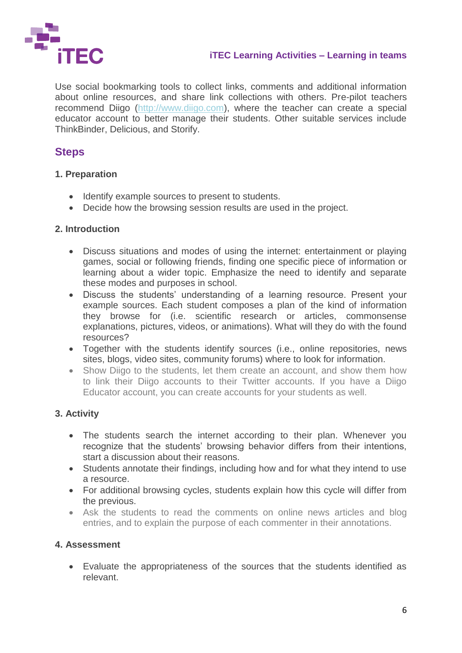

Use social bookmarking tools to collect links, comments and additional information about online resources, and share link collections with others. Pre-pilot teachers recommend Diigo [\(http://www.diigo.com\)](http://www.diigo.com/), where the teacher can create a special educator account to better manage their students. Other suitable services include ThinkBinder, Delicious, and Storify.

# **Steps**

## **1. Preparation**

- Identify example sources to present to students.
- Decide how the browsing session results are used in the project.

## **2. Introduction**

- Discuss situations and modes of using the internet: entertainment or playing games, social or following friends, finding one specific piece of information or learning about a wider topic. Emphasize the need to identify and separate these modes and purposes in school.
- Discuss the students' understanding of a learning resource. Present your example sources. Each student composes a plan of the kind of information they browse for (i.e. scientific research or articles, commonsense explanations, pictures, videos, or animations). What will they do with the found resources?
- Together with the students identify sources (i.e., online repositories, news sites, blogs, video sites, community forums) where to look for information.
- Show Diigo to the students, let them create an account, and show them how to link their Diigo accounts to their Twitter accounts. If you have a Diigo Educator account, you can create accounts for your students as well.

## **3. Activity**

- The students search the internet according to their plan. Whenever you recognize that the students' browsing behavior differs from their intentions, start a discussion about their reasons.
- Students annotate their findings, including how and for what they intend to use a resource.
- For additional browsing cycles, students explain how this cycle will differ from the previous.
- Ask the students to read the comments on online news articles and blog entries, and to explain the purpose of each commenter in their annotations.

## **4. Assessment**

 Evaluate the appropriateness of the sources that the students identified as relevant.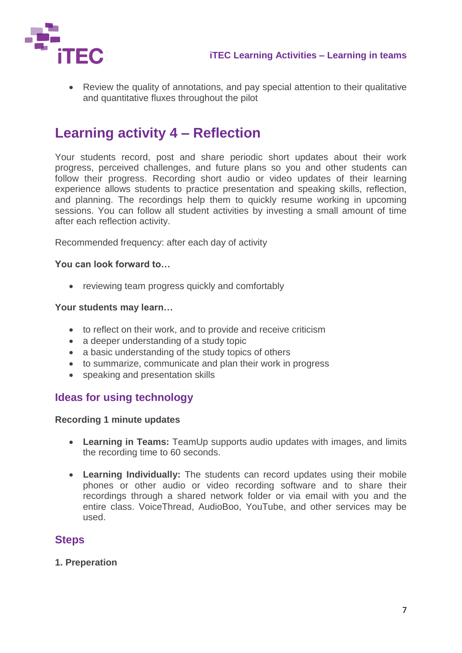

 Review the quality of annotations, and pay special attention to their qualitative and quantitative fluxes throughout the pilot

# <span id="page-6-0"></span>**Learning activity 4 – Reflection**

Your students record, post and share periodic short updates about their work progress, perceived challenges, and future plans so you and other students can follow their progress. Recording short audio or video updates of their learning experience allows students to practice presentation and speaking skills, reflection, and planning. The recordings help them to quickly resume working in upcoming sessions. You can follow all student activities by investing a small amount of time after each reflection activity.

Recommended frequency: after each day of activity

### **You can look forward to…**

• reviewing team progress quickly and comfortably

#### **Your students may learn…**

- to reflect on their work, and to provide and receive criticism
- a deeper understanding of a study topic
- a basic understanding of the study topics of others
- to summarize, communicate and plan their work in progress
- speaking and presentation skills

# **Ideas for using technology**

#### **Recording 1 minute updates**

- **Learning in Teams:** TeamUp supports audio updates with images, and limits the recording time to 60 seconds.
- **Learning Individually:** The students can record updates using their mobile phones or other audio or video recording software and to share their recordings through a shared network folder or via email with you and the entire class. VoiceThread, AudioBoo, YouTube, and other services may be used.

## **Steps**

**1. Preperation**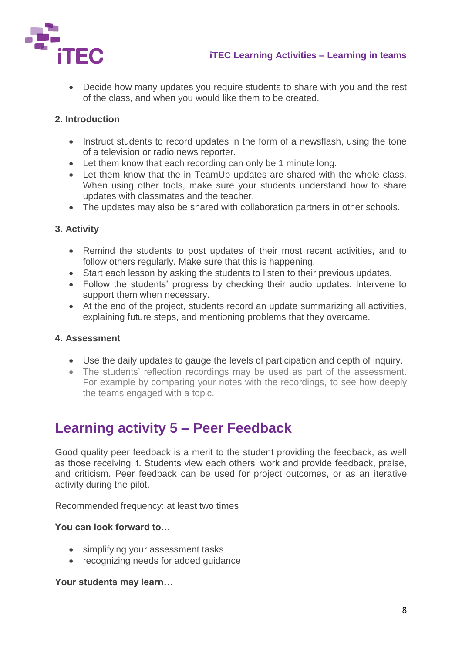

 Decide how many updates you require students to share with you and the rest of the class, and when you would like them to be created.

## **2. Introduction**

- Instruct students to record updates in the form of a newsflash, using the tone of a television or radio news reporter.
- Let them know that each recording can only be 1 minute long.
- Let them know that the in TeamUp updates are shared with the whole class. When using other tools, make sure your students understand how to share updates with classmates and the teacher.
- The updates may also be shared with collaboration partners in other schools.

## **3. Activity**

- Remind the students to post updates of their most recent activities, and to follow others regularly. Make sure that this is happening.
- Start each lesson by asking the students to listen to their previous updates.
- Follow the students' progress by checking their audio updates. Intervene to support them when necessary.
- At the end of the project, students record an update summarizing all activities, explaining future steps, and mentioning problems that they overcame.

### **4. Assessment**

- Use the daily updates to gauge the levels of participation and depth of inquiry.
- The students' reflection recordings may be used as part of the assessment. For example by comparing your notes with the recordings, to see how deeply the teams engaged with a topic.

# <span id="page-7-0"></span>**Learning activity 5 – Peer Feedback**

Good quality peer feedback is a merit to the student providing the feedback, as well as those receiving it. Students view each others' work and provide feedback, praise, and criticism. Peer feedback can be used for project outcomes, or as an iterative activity during the pilot.

Recommended frequency: at least two times

### **You can look forward to…**

- simplifying your assessment tasks
- recognizing needs for added guidance

#### **Your students may learn…**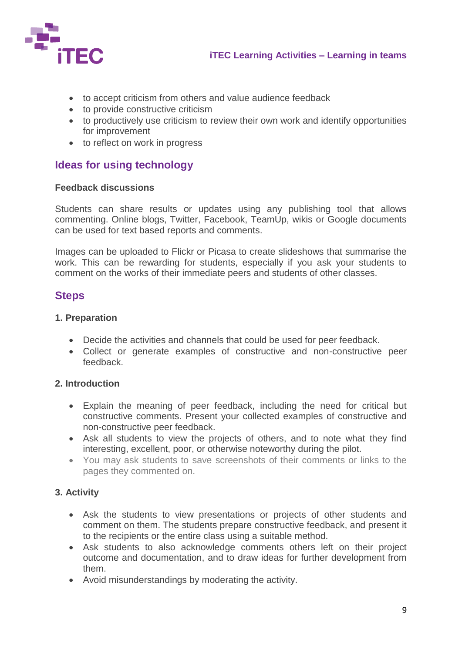

- to accept criticism from others and value audience feedback
- to provide constructive criticism
- to productively use criticism to review their own work and identify opportunities for improvement
- to reflect on work in progress

## **Ideas for using technology**

#### **Feedback discussions**

Students can share results or updates using any publishing tool that allows commenting. Online blogs, Twitter, Facebook, TeamUp, wikis or Google documents can be used for text based reports and comments.

Images can be uploaded to Flickr or Picasa to create slideshows that summarise the work. This can be rewarding for students, especially if you ask your students to comment on the works of their immediate peers and students of other classes.

# **Steps**

### **1. Preparation**

- Decide the activities and channels that could be used for peer feedback.
- Collect or generate examples of constructive and non-constructive peer feedback.

### **2. Introduction**

- Explain the meaning of peer feedback, including the need for critical but constructive comments. Present your collected examples of constructive and non-constructive peer feedback.
- Ask all students to view the projects of others, and to note what they find interesting, excellent, poor, or otherwise noteworthy during the pilot.
- You may ask students to save screenshots of their comments or links to the pages they commented on.

### **3. Activity**

- Ask the students to view presentations or projects of other students and comment on them. The students prepare constructive feedback, and present it to the recipients or the entire class using a suitable method.
- Ask students to also acknowledge comments others left on their project outcome and documentation, and to draw ideas for further development from them.
- Avoid misunderstandings by moderating the activity.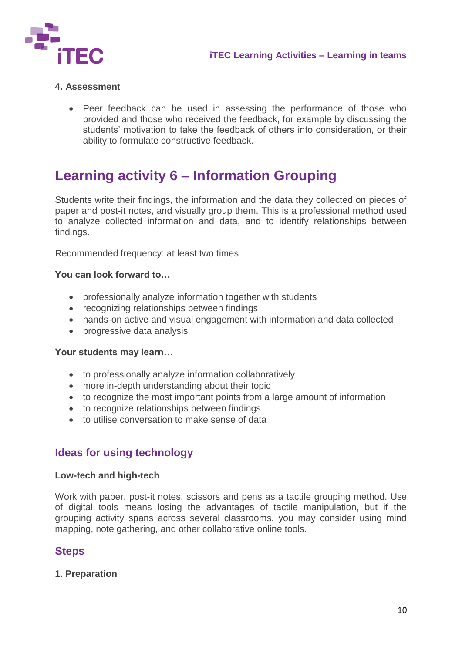

#### **4. Assessment**

• Peer feedback can be used in assessing the performance of those who provided and those who received the feedback, for example by discussing the students' motivation to take the feedback of others into consideration, or their ability to formulate constructive feedback.

# <span id="page-9-0"></span>**Learning activity 6 – Information Grouping**

Students write their findings, the information and the data they collected on pieces of paper and post-it notes, and visually group them. This is a professional method used to analyze collected information and data, and to identify relationships between findings.

Recommended frequency: at least two times

#### **You can look forward to…**

- professionally analyze information together with students
- recognizing relationships between findings
- hands-on active and visual engagement with information and data collected
- progressive data analysis

#### **Your students may learn…**

- to professionally analyze information collaboratively
- more in-depth understanding about their topic
- to recognize the most important points from a large amount of information
- to recognize relationships between findings
- to utilise conversation to make sense of data

# **Ideas for using technology**

#### **Low-tech and high-tech**

Work with paper, post-it notes, scissors and pens as a tactile grouping method. Use of digital tools means losing the advantages of tactile manipulation, but if the grouping activity spans across several classrooms, you may consider using mind mapping, note gathering, and other collaborative online tools.

# **Steps**

**1. Preparation**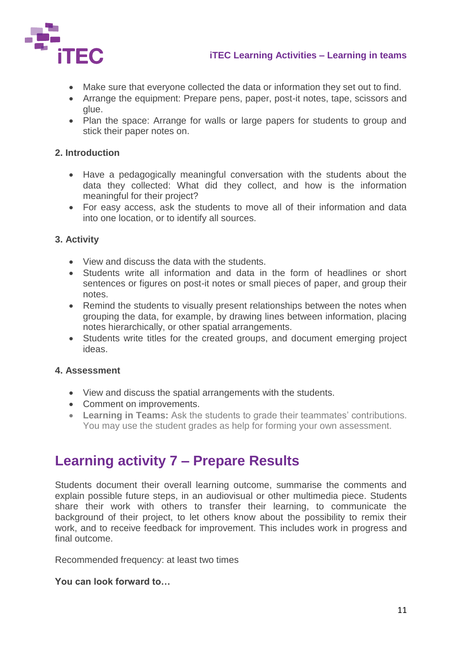

- Make sure that everyone collected the data or information they set out to find.
- Arrange the equipment: Prepare pens, paper, post-it notes, tape, scissors and glue.
- Plan the space: Arrange for walls or large papers for students to group and stick their paper notes on.

### **2. Introduction**

- Have a pedagogically meaningful conversation with the students about the data they collected: What did they collect, and how is the information meaningful for their project?
- For easy access, ask the students to move all of their information and data into one location, or to identify all sources.

### **3. Activity**

- View and discuss the data with the students.
- Students write all information and data in the form of headlines or short sentences or figures on post-it notes or small pieces of paper, and group their notes.
- Remind the students to visually present relationships between the notes when grouping the data, for example, by drawing lines between information, placing notes hierarchically, or other spatial arrangements.
- Students write titles for the created groups, and document emerging project ideas.

#### **4. Assessment**

- View and discuss the spatial arrangements with the students.
- Comment on improvements.
- **Learning in Teams:** Ask the students to grade their teammates' contributions. You may use the student grades as help for forming your own assessment.

# <span id="page-10-0"></span>**Learning activity 7 – Prepare Results**

Students document their overall learning outcome, summarise the comments and explain possible future steps, in an audiovisual or other multimedia piece. Students share their work with others to transfer their learning, to communicate the background of their project, to let others know about the possibility to remix their work, and to receive feedback for improvement. This includes work in progress and final outcome.

Recommended frequency: at least two times

#### **You can look forward to…**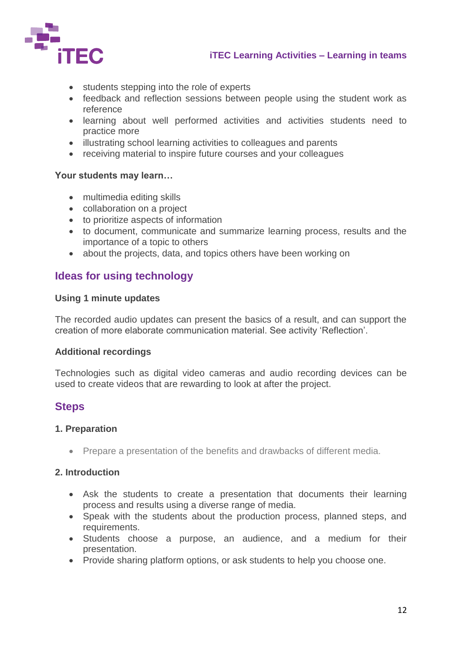

- students stepping into the role of experts
- feedback and reflection sessions between people using the student work as reference
- learning about well performed activities and activities students need to practice more
- illustrating school learning activities to colleagues and parents
- receiving material to inspire future courses and your colleagues

#### **Your students may learn…**

- multimedia editing skills
- collaboration on a project
- to prioritize aspects of information
- to document, communicate and summarize learning process, results and the importance of a topic to others
- about the projects, data, and topics others have been working on

## **Ideas for using technology**

#### **Using 1 minute updates**

The recorded audio updates can present the basics of a result, and can support the creation of more elaborate communication material. See activity 'Reflection'.

#### **Additional recordings**

Technologies such as digital video cameras and audio recording devices can be used to create videos that are rewarding to look at after the project.

## **Steps**

#### **1. Preparation**

Prepare a presentation of the benefits and drawbacks of different media.

#### **2. Introduction**

- Ask the students to create a presentation that documents their learning process and results using a diverse range of media.
- Speak with the students about the production process, planned steps, and requirements.
- Students choose a purpose, an audience, and a medium for their presentation.
- Provide sharing platform options, or ask students to help you choose one.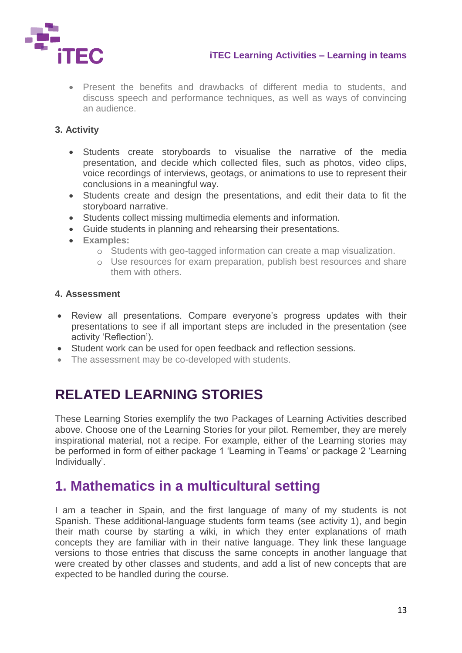

 Present the benefits and drawbacks of different media to students, and discuss speech and performance techniques, as well as ways of convincing an audience.

## **3. Activity**

- Students create storyboards to visualise the narrative of the media presentation, and decide which collected files, such as photos, video clips, voice recordings of interviews, geotags, or animations to use to represent their conclusions in a meaningful way.
- Students create and design the presentations, and edit their data to fit the storyboard narrative.
- Students collect missing multimedia elements and information.
- Guide students in planning and rehearsing their presentations.
- **Examples:** 
	- o Students with geo-tagged information can create a map visualization.
	- o Use resources for exam preparation, publish best resources and share them with others.

#### **4. Assessment**

- Review all presentations. Compare everyone's progress updates with their presentations to see if all important steps are included in the presentation (see activity 'Reflection').
- Student work can be used for open feedback and reflection sessions.
- The assessment may be co-developed with students.

# <span id="page-12-0"></span>**RELATED LEARNING STORIES**

These Learning Stories exemplify the two Packages of Learning Activities described above. Choose one of the Learning Stories for your pilot. Remember, they are merely inspirational material, not a recipe. For example, either of the Learning stories may be performed in form of either package 1 'Learning in Teams' or package 2 'Learning Individually'.

# <span id="page-12-1"></span>**1. Mathematics in a multicultural setting**

I am a teacher in Spain, and the first language of many of my students is not Spanish. These additional-language students form teams (see activity 1), and begin their math course by starting a wiki, in which they enter explanations of math concepts they are familiar with in their native language. They link these language versions to those entries that discuss the same concepts in another language that were created by other classes and students, and add a list of new concepts that are expected to be handled during the course.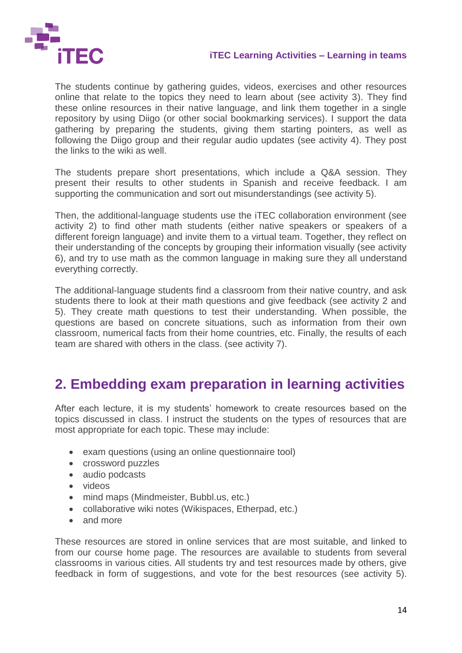

The students continue by gathering guides, videos, exercises and other resources online that relate to the topics they need to learn about (see activity 3). They find these online resources in their native language, and link them together in a single repository by using Diigo (or other social bookmarking services). I support the data gathering by preparing the students, giving them starting pointers, as well as following the Diigo group and their regular audio updates (see activity 4). They post the links to the wiki as well.

The students prepare short presentations, which include a Q&A session. They present their results to other students in Spanish and receive feedback. I am supporting the communication and sort out misunderstandings (see activity 5).

Then, the additional-language students use the iTEC collaboration environment (see activity 2) to find other math students (either native speakers or speakers of a different foreign language) and invite them to a virtual team. Together, they reflect on their understanding of the concepts by grouping their information visually (see activity 6), and try to use math as the common language in making sure they all understand everything correctly.

The additional-language students find a classroom from their native country, and ask students there to look at their math questions and give feedback (see activity 2 and 5). They create math questions to test their understanding. When possible, the questions are based on concrete situations, such as information from their own classroom, numerical facts from their home countries, etc. Finally, the results of each team are shared with others in the class. (see activity 7).

# <span id="page-13-0"></span>**2. Embedding exam preparation in learning activities**

After each lecture, it is my students' homework to create resources based on the topics discussed in class. I instruct the students on the types of resources that are most appropriate for each topic. These may include:

- exam questions (using an online questionnaire tool)
- crossword puzzles
- audio podcasts
- videos
- mind maps (Mindmeister, Bubbl.us, etc.)
- collaborative wiki notes (Wikispaces, Etherpad, etc.)
- and more

These resources are stored in online services that are most suitable, and linked to from our course home page. The resources are available to students from several classrooms in various cities. All students try and test resources made by others, give feedback in form of suggestions, and vote for the best resources (see activity 5).